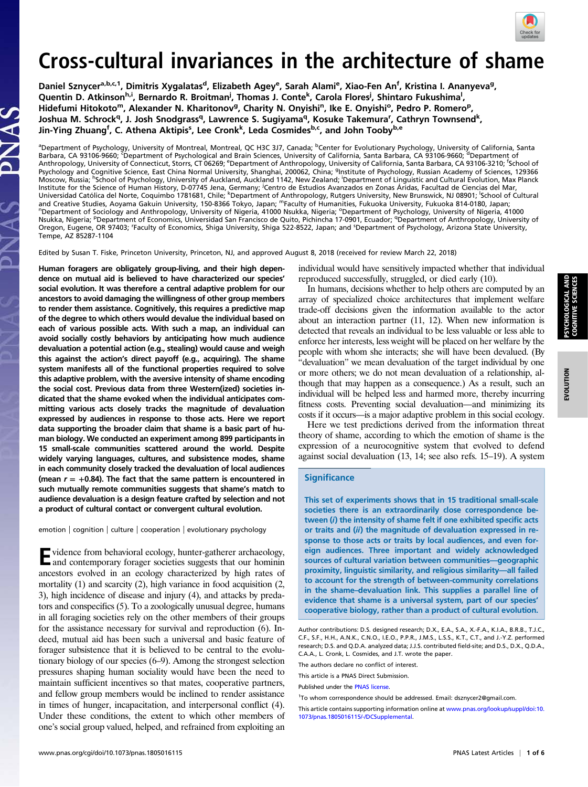

# Cross-cultural invariances in the architecture of shame

Daniel Sznycer<sup>a,b,c,1</sup>, Dimitris Xygalatas<sup>d</sup>, Elizabeth Agey<sup>e</sup>, Sarah Alami<sup>e</sup>, Xiao-Fen An<sup>f</sup>, Kristina I. Ananyeva<sup>g</sup>, Quentin D. Atkinson<sup>h, i</sup>, Bernardo R. Broitman<sup>j</sup>, Thomas J. Conte<sup>k</sup>, Carola Flores<sup>j</sup>, Shintaro Fukushima<sup>l</sup>, Hidefumi Hitokoto<sup>m</sup>, Alexander N. Kharitonov<sup>g</sup>, Charity N. Onyishi<sup>n</sup>, Ike E. Onyishi<sup>o</sup>, Pedro P. Romero<sup>p</sup>, Joshua M. Schrock<sup>q</sup>, J. Josh Snodgrass<sup>q</sup>, Lawrence S. Sugiyama<sup>q</sup>, Kosuke Takemura<sup>r</sup>, Cathryn Townsend<sup>k</sup>, Jin-Ying Zhuang<sup>f</sup>, C. Athena Aktipis<sup>s</sup>, Lee Cronk<sup>k</sup>, Leda Cosmides<sup>b,c</sup>, and John Tooby<sup>b,e</sup>

<sup>a</sup>Department of Psychology, University of Montreal, Montreal, QC H3C 3J7, Canada; <sup>b</sup>Center for Evolutionary Psychology, University of California, Santa Barbara, CA 93106-9660; <sup>c</sup>Department of Psychological and Brain Sciences, University of California, Santa Barbara, CA 93106-9660; <sup>d</sup>Department of Anthropology, University of Connecticut, Storrs, CT 06269; <sup>e</sup>Department of Anthropology, University of California, Santa Barbara, CA 93106-3210; <sup>f</sup>School of<br>Psychology and Cognitive Science, East China Normal University, Moscow, Russia; <sup>h</sup>School of Psychology, University of Auckland, Auckland 1142, New Zealand; <sup>i</sup>Department of Linguistic and Cultural Evolution, Max Planck Institute for the Science of Human History, D-07745 Jena, Germany; <sup>j</sup>Centro de Estudios Avanzados en Zonas Áridas, Facultad de Ciencias del Mar, Universidad Católica del Norte, Coquimbo 1781681, Chile; <sup>k</sup>Department of Anthropology, Rutgers University, New Brunswick, NJ 08901; <sup>I</sup>School of Cultural<br>and Creative Studies, Aoyama Gakuin University, 150-8366 Tokyo, Jap Nsukka, Nigeria; <sup>p</sup>Department of Economics, Universidad San Francisco de Quito, Pichincha 17-0901, Ecuador; <sup>q</sup>Department of Anthropology, University of Oregon, Eugene, OR 97403; 'Faculty of Economics, Shiga University, Shiga 522-8522, Japan; and <sup>s</sup>Department of Psychology, Arizona State University, Tempe, AZ 85287-1104

Edited by Susan T. Fiske, Princeton University, Princeton, NJ, and approved August 8, 2018 (received for review March 22, 2018)

Human foragers are obligately group-living, and their high dependence on mutual aid is believed to have characterized our species' social evolution. It was therefore a central adaptive problem for our ancestors to avoid damaging the willingness of other group members to render them assistance. Cognitively, this requires a predictive map of the degree to which others would devalue the individual based on each of various possible acts. With such a map, an individual can avoid socially costly behaviors by anticipating how much audience devaluation a potential action (e.g., stealing) would cause and weigh this against the action's direct payoff (e.g., acquiring). The shame system manifests all of the functional properties required to solve this adaptive problem, with the aversive intensity of shame encoding the social cost. Previous data from three Western(ized) societies indicated that the shame evoked when the individual anticipates committing various acts closely tracks the magnitude of devaluation expressed by audiences in response to those acts. Here we report data supporting the broader claim that shame is a basic part of human biology. We conducted an experiment among 899 participants in 15 small-scale communities scattered around the world. Despite widely varying languages, cultures, and subsistence modes, shame in each community closely tracked the devaluation of local audiences (mean  $r = +0.84$ ). The fact that the same pattern is encountered in such mutually remote communities suggests that shame's match to audience devaluation is a design feature crafted by selection and not a product of cultural contact or convergent cultural evolution.

emotion | cognition | culture | cooperation | evolutionary psychology

Evidence from behavioral ecology, hunter-gatherer archaeology, and contemporary forager societies suggests that our hominin ancestors evolved in an ecology characterized by high rates of mortality (1) and scarcity (2), high variance in food acquisition (2, 3), high incidence of disease and injury (4), and attacks by predators and conspecifics (5). To a zoologically unusual degree, humans in all foraging societies rely on the other members of their groups for the assistance necessary for survival and reproduction (6). Indeed, mutual aid has been such a universal and basic feature of forager subsistence that it is believed to be central to the evolutionary biology of our species (6–9). Among the strongest selection pressures shaping human sociality would have been the need to maintain sufficient incentives so that mates, cooperative partners, and fellow group members would be inclined to render assistance in times of hunger, incapacitation, and interpersonal conflict (4). Under these conditions, the extent to which other members of one's social group valued, helped, and refrained from exploiting an

individual would have sensitively impacted whether that individual reproduced successfully, struggled, or died early (10).

In humans, decisions whether to help others are computed by an array of specialized choice architectures that implement welfare trade-off decisions given the information available to the actor about an interaction partner (11, 12). When new information is detected that reveals an individual to be less valuable or less able to enforce her interests, less weight will be placed on her welfare by the people with whom she interacts; she will have been devalued. (By "devaluation" we mean devaluation of the target individual by one or more others; we do not mean devaluation of a relationship, although that may happen as a consequence.) As a result, such an individual will be helped less and harmed more, thereby incurring fitness costs. Preventing social devaluation—and minimizing its costs if it occurs—is a major adaptive problem in this social ecology.

Here we test predictions derived from the information threat theory of shame, according to which the emotion of shame is the expression of a neurocognitive system that evolved to defend against social devaluation (13, 14; see also refs. 15–19). A system

### **Significance**

This set of experiments shows that in 15 traditional small-scale societies there is an extraordinarily close correspondence between (i) the intensity of shame felt if one exhibited specific acts or traits and (ii) the magnitude of devaluation expressed in response to those acts or traits by local audiences, and even foreign audiences. Three important and widely acknowledged sources of cultural variation between communities—geographic proximity, linguistic similarity, and religious similarity—all failed to account for the strength of between-community correlations in the shame–devaluation link. This supplies a parallel line of evidence that shame is a universal system, part of our species' cooperative biology, rather than a product of cultural evolution.

The authors declare no conflict of interest.

This article contains supporting information online at [www.pnas.org/lookup/suppl/doi:10.](http://www.pnas.org/lookup/suppl/doi:10.1073/pnas.1805016115/-/DCSupplemental) [1073/pnas.1805016115/-/DCSupplemental](http://www.pnas.org/lookup/suppl/doi:10.1073/pnas.1805016115/-/DCSupplemental).

Author contributions: D.S. designed research; D.X., E.A., S.A., X.-F.A., K.I.A., B.R.B., T.J.C., C.F., S.F., H.H., A.N.K., C.N.O., I.E.O., P.P.R., J.M.S., L.S.S., K.T., C.T., and J.-Y.Z. performed research; D.S. and Q.D.A. analyzed data; J.J.S. contributed field-site; and D.S., D.X., Q.D.A., C.A.A., L. Cronk, L. Cosmides, and J.T. wrote the paper.

This article is a PNAS Direct Submission.

Published under the PNAS license

<sup>1</sup> To whom correspondence should be addressed. Email: [dsznycer2@gmail.com.](mailto:dsznycer2@gmail.com)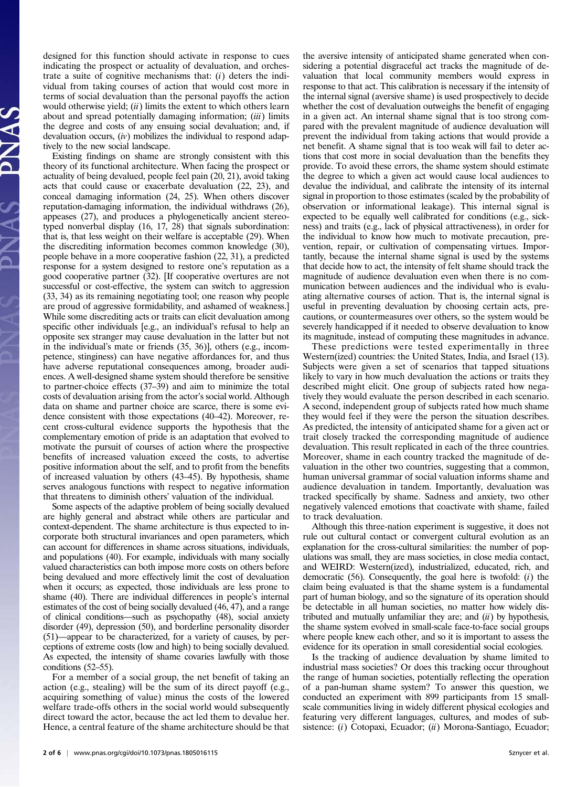designed for this function should activate in response to cues indicating the prospect or actuality of devaluation, and orchestrate a suite of cognitive mechanisms that:  $(i)$  deters the individual from taking courses of action that would cost more in terms of social devaluation than the personal payoffs the action would otherwise yield;  $(ii)$  limits the extent to which others learn about and spread potentially damaging information; (iii) limits the degree and costs of any ensuing social devaluation; and, if devaluation occurs,  $(iv)$  mobilizes the individual to respond adaptively to the new social landscape.

Existing findings on shame are strongly consistent with this theory of its functional architecture. When facing the prospect or actuality of being devalued, people feel pain (20, 21), avoid taking acts that could cause or exacerbate devaluation (22, 23), and conceal damaging information (24, 25). When others discover reputation-damaging information, the individual withdraws (26), appeases (27), and produces a phylogenetically ancient stereotyped nonverbal display (16, 17, 28) that signals subordination: that is, that less weight on their welfare is acceptable (29). When the discrediting information becomes common knowledge (30), people behave in a more cooperative fashion (22, 31), a predicted response for a system designed to restore one's reputation as a good cooperative partner (32). [If cooperative overtures are not successful or cost-effective, the system can switch to aggression (33, 34) as its remaining negotiating tool; one reason why people are proud of aggressive formidability, and ashamed of weakness.] While some discrediting acts or traits can elicit devaluation among specific other individuals [e.g., an individual's refusal to help an opposite sex stranger may cause devaluation in the latter but not in the individual's mate or friends (35, 36)], others (e.g., incompetence, stinginess) can have negative affordances for, and thus have adverse reputational consequences among, broader audiences. A well-designed shame system should therefore be sensitive to partner-choice effects (37–39) and aim to minimize the total costs of devaluation arising from the actor's social world. Although data on shame and partner choice are scarce, there is some evidence consistent with those expectations (40–42). Moreover, recent cross-cultural evidence supports the hypothesis that the complementary emotion of pride is an adaptation that evolved to motivate the pursuit of courses of action where the prospective benefits of increased valuation exceed the costs, to advertise positive information about the self, and to profit from the benefits of increased valuation by others (43–45). By hypothesis, shame serves analogous functions with respect to negative information that threatens to diminish others' valuation of the individual.

Some aspects of the adaptive problem of being socially devalued are highly general and abstract while others are particular and context-dependent. The shame architecture is thus expected to incorporate both structural invariances and open parameters, which can account for differences in shame across situations, individuals, and populations (40). For example, individuals with many socially valued characteristics can both impose more costs on others before being devalued and more effectively limit the cost of devaluation when it occurs; as expected, those individuals are less prone to shame (40). There are individual differences in people's internal estimates of the cost of being socially devalued (46, 47), and a range of clinical conditions—such as psychopathy (48), social anxiety disorder (49), depression (50), and borderline personality disorder (51)—appear to be characterized, for a variety of causes, by perceptions of extreme costs (low and high) to being socially devalued. As expected, the intensity of shame covaries lawfully with those conditions (52–55).

For a member of a social group, the net benefit of taking an action (e.g., stealing) will be the sum of its direct payoff (e.g., acquiring something of value) minus the costs of the lowered welfare trade-offs others in the social world would subsequently direct toward the actor, because the act led them to devalue her. Hence, a central feature of the shame architecture should be that the aversive intensity of anticipated shame generated when considering a potential disgraceful act tracks the magnitude of devaluation that local community members would express in response to that act. This calibration is necessary if the intensity of the internal signal (aversive shame) is used prospectively to decide whether the cost of devaluation outweighs the benefit of engaging in a given act. An internal shame signal that is too strong compared with the prevalent magnitude of audience devaluation will prevent the individual from taking actions that would provide a net benefit. A shame signal that is too weak will fail to deter actions that cost more in social devaluation than the benefits they provide. To avoid these errors, the shame system should estimate the degree to which a given act would cause local audiences to devalue the individual, and calibrate the intensity of its internal signal in proportion to those estimates (scaled by the probability of observation or informational leakage). This internal signal is expected to be equally well calibrated for conditions (e.g., sickness) and traits (e.g., lack of physical attractiveness), in order for the individual to know how much to motivate precaution, prevention, repair, or cultivation of compensating virtues. Importantly, because the internal shame signal is used by the systems that decide how to act, the intensity of felt shame should track the magnitude of audience devaluation even when there is no communication between audiences and the individual who is evaluating alternative courses of action. That is, the internal signal is useful in preventing devaluation by choosing certain acts, precautions, or countermeasures over others, so the system would be severely handicapped if it needed to observe devaluation to know its magnitude, instead of computing these magnitudes in advance.

These predictions were tested experimentally in three Western(ized) countries: the United States, India, and Israel (13). Subjects were given a set of scenarios that tapped situations likely to vary in how much devaluation the actions or traits they described might elicit. One group of subjects rated how negatively they would evaluate the person described in each scenario. A second, independent group of subjects rated how much shame they would feel if they were the person the situation describes. As predicted, the intensity of anticipated shame for a given act or trait closely tracked the corresponding magnitude of audience devaluation. This result replicated in each of the three countries. Moreover, shame in each country tracked the magnitude of devaluation in the other two countries, suggesting that a common, human universal grammar of social valuation informs shame and audience devaluation in tandem. Importantly, devaluation was tracked specifically by shame. Sadness and anxiety, two other negatively valenced emotions that coactivate with shame, failed to track devaluation.

Although this three-nation experiment is suggestive, it does not rule out cultural contact or convergent cultural evolution as an explanation for the cross-cultural similarities: the number of populations was small, they are mass societies, in close media contact, and WEIRD: Western(ized), industrialized, educated, rich, and democratic  $(56)$ . Consequently, the goal here is twofold:  $(i)$  the claim being evaluated is that the shame system is a fundamental part of human biology, and so the signature of its operation should be detectable in all human societies, no matter how widely distributed and mutually unfamiliar they are; and  $(ii)$  by hypothesis, the shame system evolved in small-scale face-to-face social groups where people knew each other, and so it is important to assess the evidence for its operation in small coresidential social ecologies.

Is the tracking of audience devaluation by shame limited to industrial mass societies? Or does this tracking occur throughout the range of human societies, potentially reflecting the operation of a pan-human shame system? To answer this question, we conducted an experiment with 899 participants from 15 smallscale communities living in widely different physical ecologies and featuring very different languages, cultures, and modes of subsistence: (i) Cotopaxi, Ecuador; (ii) Morona-Santiago, Ecuador;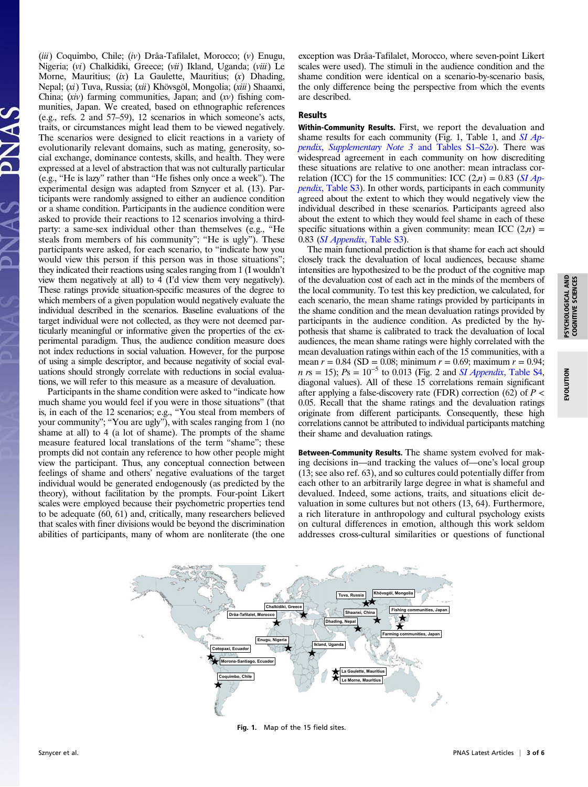(iii) Coquimbo, Chile; (iv) Drâa-Tafilalet, Morocco; (v) Enugu, Nigeria; (vi) Chalkidiki, Greece; (vii) Ikland, Uganda; (viii) Le Morne, Mauritius;  $(ix)$  La Gaulette, Mauritius;  $(x)$  Dhading, Nepal; (xi) Tuva, Russia; (xii) Khövsgöl, Mongolia; (xiii) Shaanxi, China;  $(xiv)$  farming communities, Japan; and  $(xv)$  fishing communities, Japan. We created, based on ethnographic references (e.g., refs. 2 and 57–59), 12 scenarios in which someone's acts, traits, or circumstances might lead them to be viewed negatively. The scenarios were designed to elicit reactions in a variety of evolutionarily relevant domains, such as mating, generosity, social exchange, dominance contests, skills, and health. They were expressed at a level of abstraction that was not culturally particular (e.g., "He is lazy" rather than "He fishes only once a week"). The experimental design was adapted from Sznycer et al. (13). Participants were randomly assigned to either an audience condition or a shame condition. Participants in the audience condition were asked to provide their reactions to 12 scenarios involving a thirdparty: a same-sex individual other than themselves (e.g., "He steals from members of his community"; "He is ugly"). These participants were asked, for each scenario, to "indicate how you would view this person if this person was in those situations"; they indicated their reactions using scales ranging from 1 (I wouldn't view them negatively at all) to 4 (I'd view them very negatively). These ratings provide situation-specific measures of the degree to which members of a given population would negatively evaluate the individual described in the scenarios. Baseline evaluations of the target individual were not collected, as they were not deemed particularly meaningful or informative given the properties of the experimental paradigm. Thus, the audience condition measure does not index reductions in social valuation. However, for the purpose of using a simple descriptor, and because negativity of social evaluations should strongly correlate with reductions in social evaluations, we will refer to this measure as a measure of devaluation.

Participants in the shame condition were asked to "indicate how much shame you would feel if you were in those situations" (that is, in each of the 12 scenarios; e.g., "You steal from members of your community"; "You are ugly"), with scales ranging from 1 (no shame at all) to 4 (a lot of shame). The prompts of the shame measure featured local translations of the term "shame"; these prompts did not contain any reference to how other people might view the participant. Thus, any conceptual connection between feelings of shame and others' negative evaluations of the target individual would be generated endogenously (as predicted by the theory), without facilitation by the prompts. Four-point Likert scales were employed because their psychometric properties tend to be adequate (60, 61) and, critically, many researchers believed that scales with finer divisions would be beyond the discrimination abilities of participants, many of whom are nonliterate (the one exception was Drâa-Tafilalet, Morocco, where seven-point Likert scales were used). The stimuli in the audience condition and the shame condition were identical on a scenario-by-scenario basis, the only difference being the perspective from which the events are described.

## Results

Within-Community Results. First, we report the devaluation and shame results for each community (Fig. 1, Table 1, and  $SI$  Ap-pendix, [Supplementary Note 3](http://www.pnas.org/lookup/suppl/doi:10.1073/pnas.1805016115/-/DCSupplemental) and Tables S1-[S2](http://www.pnas.org/lookup/suppl/doi:10.1073/pnas.1805016115/-/DCSupplemental)o). There was widespread agreement in each community on how discrediting these situations are relative to one another: mean intraclass correlation (ICC) for the 15 communities: ICC  $(2n) = 0.83$  ([SI Ap](http://www.pnas.org/lookup/suppl/doi:10.1073/pnas.1805016115/-/DCSupplemental)pendix[, Table S3\)](http://www.pnas.org/lookup/suppl/doi:10.1073/pnas.1805016115/-/DCSupplemental). In other words, participants in each community agreed about the extent to which they would negatively view the individual described in these scenarios. Participants agreed also about the extent to which they would feel shame in each of these specific situations within a given community: mean ICC  $(2, n)$  = 0.83 (SI Appendix[, Table S3](http://www.pnas.org/lookup/suppl/doi:10.1073/pnas.1805016115/-/DCSupplemental)).

The main functional prediction is that shame for each act should closely track the devaluation of local audiences, because shame intensities are hypothesized to be the product of the cognitive map of the devaluation cost of each act in the minds of the members of the local community. To test this key prediction, we calculated, for each scenario, the mean shame ratings provided by participants in the shame condition and the mean devaluation ratings provided by participants in the audience condition. As predicted by the hypothesis that shame is calibrated to track the devaluation of local audiences, the mean shame ratings were highly correlated with the mean devaluation ratings within each of the 15 communities, with a mean  $r = 0.84$  (SD = 0.08; minimum  $r = 0.69$ ; maximum  $r = 0.94$ ;  $n \text{ is } = 15$ ;  $Ps = 10^{-5}$  to 0.013 (Fig. 2 and *SI Appendix*[, Table S4,](http://www.pnas.org/lookup/suppl/doi:10.1073/pnas.1805016115/-/DCSupplemental) diagonal values). All of these 15 correlations remain significant after applying a false-discovery rate (FDR) correction (62) of  $P \lt \theta$ 0.05. Recall that the shame ratings and the devaluation ratings originate from different participants. Consequently, these high correlations cannot be attributed to individual participants matching their shame and devaluation ratings.

Between-Community Results. The shame system evolved for making decisions in—and tracking the values of—one's local group (13; see also ref. 63), and so cultures could potentially differ from each other to an arbitrarily large degree in what is shameful and devalued. Indeed, some actions, traits, and situations elicit devaluation in some cultures but not others (13, 64). Furthermore, a rich literature in anthropology and cultural psychology exists on cultural differences in emotion, although this work seldom addresses cross-cultural similarities or questions of functional



Fig. 1. Map of the 15 field sites.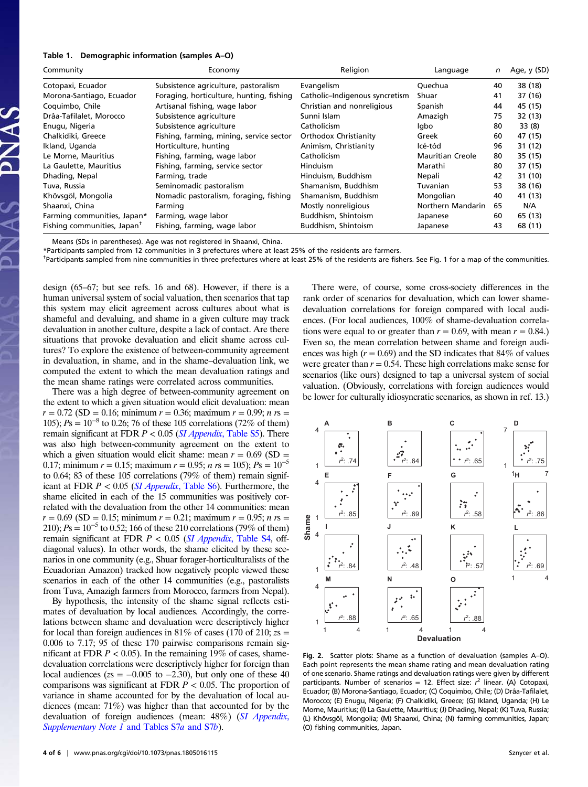#### Table 1. Demographic information (samples A–O)

| Community                               | Economy                                  | Religion                       | Language                | n  | Age, y (SD) |
|-----------------------------------------|------------------------------------------|--------------------------------|-------------------------|----|-------------|
| Cotopaxi, Ecuador                       | Subsistence agriculture, pastoralism     | Evangelism                     | Ouechua                 | 40 | 38 (18)     |
| Morona-Santiago, Ecuador                | Foraging, horticulture, hunting, fishing | Catholic-Indigenous syncretism | Shuar                   | 41 | 37 (16)     |
| Coquimbo, Chile                         | Artisanal fishing, wage labor            | Christian and nonreligious     | Spanish                 | 44 | 45 (15)     |
| Drâa-Tafilalet, Morocco                 | Subsistence agriculture                  | Sunni Islam                    | Amazigh                 | 75 | 32 (13)     |
| Enugu, Nigeria                          | Subsistence agriculture                  | Catholicism                    | lgbo                    | 80 | 33(8)       |
| Chalkidiki, Greece                      | Fishing, farming, mining, service sector | Orthodox Christianity          | Greek                   | 60 | 47 (15)     |
| Ikland, Uganda                          | Horticulture, hunting                    | Animism, Christianity          | Icé-tód                 | 96 | 31 (12)     |
| Le Morne, Mauritius                     | Fishing, farming, wage labor             | Catholicism                    | <b>Mauritian Creole</b> | 80 | 35 (15)     |
| La Gaulette, Mauritius                  | Fishing, farming, service sector         | <b>Hinduism</b>                | Marathi                 | 80 | 37 (15)     |
| Dhading, Nepal                          | Farming, trade                           | Hinduism, Buddhism             | Nepali                  | 42 | 31 (10)     |
| Tuva, Russia                            | Seminomadic pastoralism                  | Shamanism, Buddhism            | Tuvanian                | 53 | 38 (16)     |
| Khövsgöl, Mongolia                      | Nomadic pastoralism, foraging, fishing   | Shamanism, Buddhism            | Mongolian               | 40 | 41 (13)     |
| Shaanxi, China                          | Farming                                  | Mostly nonreligious            | Northern Mandarin       | 65 | N/A         |
| Farming communities, Japan*             | Farming, wage labor                      | Buddhism, Shintoism            | Japanese                | 60 | 65 (13)     |
| Fishing communities, Japan <sup>T</sup> | Fishing, farming, wage labor             | Buddhism, Shintoism            | Japanese                | 43 | 68 (11)     |

Means (SDs in parentheses). Age was not registered in Shaanxi, China.

\*Participants sampled from 12 communities in 3 prefectures where at least 25% of the residents are farmers.

<sup>+</sup>Participants sampled from nine communities in three prefectures where at least 25% of the residents are fishers. See Fig. 1 for a map of the communities.

design (65–67; but see refs. 16 and 68). However, if there is a human universal system of social valuation, then scenarios that tap this system may elicit agreement across cultures about what is shameful and devaluing, and shame in a given culture may track devaluation in another culture, despite a lack of contact. Are there situations that provoke devaluation and elicit shame across cultures? To explore the existence of between-community agreement in devaluation, in shame, and in the shame–devaluation link, we computed the extent to which the mean devaluation ratings and the mean shame ratings were correlated across communities.

There was a high degree of between-community agreement on the extent to which a given situation would elicit devaluation: mean  $r = 0.72$  (SD = 0.16; minimum  $r = 0.36$ ; maximum  $r = 0.99$ ; n  $rs =$ 105); Ps = 10−<sup>8</sup> to 0.26; 76 of these 105 correlations (72% of them) remain significant at FDR  $P < 0.05$  (SI Appendix[, Table S5](http://www.pnas.org/lookup/suppl/doi:10.1073/pnas.1805016115/-/DCSupplemental)). There was also high between-community agreement on the extent to which a given situation would elicit shame: mean  $r = 0.69$  (SD = 0.17; minimum  $r = 0.15$ ; maximum  $r = 0.95$ ;  $n \text{ rs} = 105$ );  $Ps = 10^{-5}$ to 0.64; 83 of these 105 correlations (79% of them) remain significant at FDR  $P < 0.05$  (*SI Appendix*[, Table S6\)](http://www.pnas.org/lookup/suppl/doi:10.1073/pnas.1805016115/-/DCSupplemental). Furthermore, the shame elicited in each of the 15 communities was positively correlated with the devaluation from the other 14 communities: mean  $r = 0.69$  (SD = 0.15; minimum  $r = 0.21$ ; maximum  $r = 0.95$ ; n  $rs =$ 210); Ps = 10<sup>-5</sup> to 0.52; 166 of these 210 correlations (79% of them) remain significant at FDR  $P < 0.05$  (SI Appendix[, Table S4](http://www.pnas.org/lookup/suppl/doi:10.1073/pnas.1805016115/-/DCSupplemental), offdiagonal values). In other words, the shame elicited by these scenarios in one community (e.g., Shuar forager-horticulturalists of the Ecuadorian Amazon) tracked how negatively people viewed these scenarios in each of the other 14 communities (e.g., pastoralists from Tuva, Amazigh farmers from Morocco, farmers from Nepal).

By hypothesis, the intensity of the shame signal reflects estimates of devaluation by local audiences. Accordingly, the correlations between shame and devaluation were descriptively higher for local than foreign audiences in 81% of cases (170 of 210;  $zs =$ 0.006 to 7.17; 95 of these 170 pairwise comparisons remain significant at FDR  $P < 0.05$ ). In the remaining 19% of cases, shamedevaluation correlations were descriptively higher for foreign than local audiences ( $zs = -0.005$  to  $-2.30$ ), but only one of these 40 comparisons was significant at FDR  $P < 0.05$ . The proportion of variance in shame accounted for by the devaluation of local audiences (mean: 71%) was higher than that accounted for by the devaluation of foreign audiences (mean: 48%) ([SI Appendix](http://www.pnas.org/lookup/suppl/doi:10.1073/pnas.1805016115/-/DCSupplemental), [Supplementary Note 1](http://www.pnas.org/lookup/suppl/doi:10.1073/pnas.1805016115/-/DCSupplemental) and Tables S7a and S7b).

There were, of course, some cross-society differences in the rank order of scenarios for devaluation, which can lower shamedevaluation correlations for foreign compared with local audiences. (For local audiences, 100% of shame-devaluation correlations were equal to or greater than  $r = 0.69$ , with mean  $r = 0.84$ .) Even so, the mean correlation between shame and foreign audiences was high ( $r = 0.69$ ) and the SD indicates that 84% of values were greater than  $r = 0.54$ . These high correlations make sense for scenarios (like ours) designed to tap a universal system of social valuation. (Obviously, correlations with foreign audiences would be lower for culturally idiosyncratic scenarios, as shown in ref. 13.)



Fig. 2. Scatter plots: Shame as a function of devaluation (samples A–O). Each point represents the mean shame rating and mean devaluation rating of one scenario. Shame ratings and devaluation ratings were given by different participants. Number of scenarios = 12. Effect size:  $r^2$  linear. (A) Cotopaxi, Ecuador; (B) Morona-Santiago, Ecuador; (C) Coquimbo, Chile; (D) Drâa-Tafilalet, Morocco; (E) Enugu, Nigeria; (F) Chalkidiki, Greece; (G) Ikland, Uganda; (H) Le Morne, Mauritius; (I) La Gaulette, Mauritius; (J) Dhading, Nepal; (K) Tuva, Russia; (L) Khövsgöl, Mongolia; (M) Shaanxi, China; (N) farming communities, Japan; (O) fishing communities, Japan.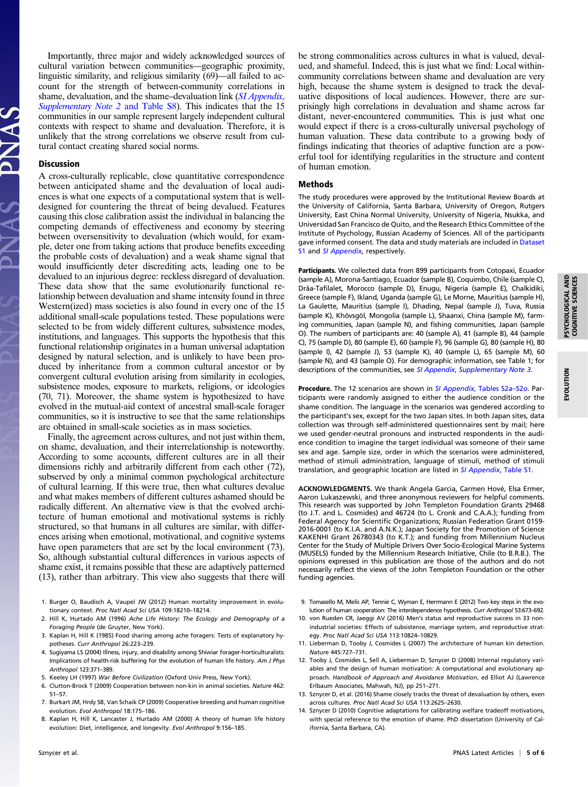Importantly, three major and widely acknowledged sources of cultural variation between communities—geographic proximity, linguistic similarity, and religious similarity (69)—all failed to account for the strength of between-community correlations in shame, devaluation, and the shame–devaluation link (*[SI Appendix](http://www.pnas.org/lookup/suppl/doi:10.1073/pnas.1805016115/-/DCSupplemental)*, [Supplementary Note 2](http://www.pnas.org/lookup/suppl/doi:10.1073/pnas.1805016115/-/DCSupplemental) and Table S8). This indicates that the 15 communities in our sample represent largely independent cultural contexts with respect to shame and devaluation. Therefore, it is unlikely that the strong correlations we observe result from cultural contact creating shared social norms.

#### Discussion

A cross-culturally replicable, close quantitative correspondence between anticipated shame and the devaluation of local audiences is what one expects of a computational system that is welldesigned for countering the threat of being devalued. Features causing this close calibration assist the individual in balancing the competing demands of effectiveness and economy by steering between oversensitivity to devaluation (which would, for example, deter one from taking actions that produce benefits exceeding the probable costs of devaluation) and a weak shame signal that would insufficiently deter discrediting acts, leading one to be devalued to an injurious degree: reckless disregard of devaluation. These data show that the same evolutionarily functional relationship between devaluation and shame intensity found in three Western(ized) mass societies is also found in every one of the 15 additional small-scale populations tested. These populations were selected to be from widely different cultures, subsistence modes, institutions, and languages. This supports the hypothesis that this functional relationship originates in a human universal adaptation designed by natural selection, and is unlikely to have been produced by inheritance from a common cultural ancestor or by convergent cultural evolution arising from similarity in ecologies, subsistence modes, exposure to markets, religions, or ideologies (70, 71). Moreover, the shame system is hypothesized to have evolved in the mutual-aid context of ancestral small-scale forager communities, so it is instructive to see that the same relationships are obtained in small-scale societies as in mass societies.

Finally, the agreement across cultures, and not just within them, on shame, devaluation, and their interrelationship is noteworthy. According to some accounts, different cultures are in all their dimensions richly and arbitrarily different from each other (72), subserved by only a minimal common psychological architecture of cultural learning. If this were true, then what cultures devalue and what makes members of different cultures ashamed should be radically different. An alternative view is that the evolved architecture of human emotional and motivational systems is richly structured, so that humans in all cultures are similar, with differences arising when emotional, motivational, and cognitive systems have open parameters that are set by the local environment (73). So, although substantial cultural differences in various aspects of shame exist, it remains possible that these are adaptively patterned (13), rather than arbitrary. This view also suggests that there will

- 1. Burger O, Baudisch A, Vaupel JW (2012) Human mortality improvement in evolutionary context. Proc Natl Acad Sci USA 109:18210–18214.
- 2. Hill K, Hurtado AM (1996) Ache Life History: The Ecology and Demography of a Foraging People (de Gruyter, New York).
- 3. Kaplan H, Hill K (1985) Food sharing among ache foragers: Tests of explanatory hypotheses. Curr Anthropol 26:223–239.
- 4. Sugiyama LS (2004) Illness, injury, and disability among Shiwiar forager-horticulturalists: Implications of health-risk buffering for the evolution of human life history. Am J Phys Anthropol 123:371–389.
- 5. Keeley LH (1997) War Before Civilization (Oxford Univ Press, New York).
- 6. Clutton-Brock T (2009) Cooperation between non-kin in animal societies. Nature 462: 51–57.
- 7. Burkart JM, Hrdy SB, Van Schaik CP (2009) Cooperative breeding and human cognitive evolution. Evol Anthropol 18:175–186.
- 8. Kaplan H, Hill K, Lancaster J, Hurtado AM (2000) A theory of human life history evolution: Diet, intelligence, and longevity. Evol Anthropol 9:156–185.

be strong commonalities across cultures in what is valued, devalued, and shameful. Indeed, this is just what we find: Local withincommunity correlations between shame and devaluation are very high, because the shame system is designed to track the devaluative dispositions of local audiences. However, there are surprisingly high correlations in devaluation and shame across far distant, never-encountered communities. This is just what one would expect if there is a cross-culturally universal psychology of human valuation. These data contribute to a growing body of findings indicating that theories of adaptive function are a powerful tool for identifying regularities in the structure and content of human emotion.

#### Methods

The study procedures were approved by the Institutional Review Boards at the University of California, Santa Barbara, University of Oregon, Rutgers University, East China Normal University, University of Nigeria, Nsukka, and Universidad San Francisco de Quito, and the Research Ethics Committee of the Institute of Psychology, Russian Academy of Sciences. All of the participants gave informed consent. The data and study materials are included in [Dataset](http://www.pnas.org/lookup/suppl/doi:10.1073/pnas.1805016115/-/DCSupplemental) [S1](http://www.pnas.org/lookup/suppl/doi:10.1073/pnas.1805016115/-/DCSupplemental) and [SI Appendix](http://www.pnas.org/lookup/suppl/doi:10.1073/pnas.1805016115/-/DCSupplemental), respectively.

Participants. We collected data from 899 participants from Cotopaxi, Ecuador (sample A), Morona-Santiago, Ecuador (sample B), Coquimbo, Chile (sample C), Drâa-Tafilalet, Morocco (sample D), Enugu, Nigeria (sample E), Chalkidiki, Greece (sample F), Ikland, Uganda (sample G), Le Morne, Mauritius (sample H), La Gaulette, Mauritius (sample I), Dhading, Nepal (sample J), Tuva, Russia (sample K), Khövsgöl, Mongolia (sample L), Shaanxi, China (sample M), farming communities, Japan (sample N), and fishing communities, Japan (sample O). The numbers of participants are: 40 (sample A), 41 (sample B), 44 (sample C), 75 (sample D), 80 (sample E), 60 (sample F), 96 (sample G), 80 (sample H), 80 (sample I), 42 (sample J), 53 (sample K), 40 (sample L), 65 (sample M), 60 (sample N), and 43 (sample O). For demographic information, see Table 1; for descriptions of the communities, see SI Appendix, [Supplementary Note 3](http://www.pnas.org/lookup/suppl/doi:10.1073/pnas.1805016115/-/DCSupplemental).

Procedure. The 12 scenarios are shown in [SI Appendix](http://www.pnas.org/lookup/suppl/doi:10.1073/pnas.1805016115/-/DCSupplemental), Tables [S2](http://www.pnas.org/lookup/suppl/doi:10.1073/pnas.1805016115/-/DCSupplemental)a-S2o. Participants were randomly assigned to either the audience condition or the shame condition. The language in the scenarios was gendered according to the participant's sex, except for the two Japan sites. In both Japan sites, data collection was through self-administered questionnaires sent by mail; here we used gender-neutral pronouns and instructed respondents in the audience condition to imagine the target individual was someone of their same sex and age. Sample size, order in which the scenarios were administered, method of stimuli administration, language of stimuli, method of stimuli translation, and geographic location are listed in [SI Appendix](http://www.pnas.org/lookup/suppl/doi:10.1073/pnas.1805016115/-/DCSupplemental), Table S1.

ACKNOWLEDGMENTS. We thank Angela Garcia, Carmen Hové, Elsa Ermer, Aaron Lukaszewski, and three anonymous reviewers for helpful comments. This research was supported by John Templeton Foundation Grants 29468 (to J.T. and L. Cosmides) and 46724 (to L. Cronk and C.A.A.); funding from Federal Agency for Scientific Organizations; Russian Federation Grant 0159- 2016-0001 (to K.I.A. and A.N.K.); Japan Society for the Promotion of Science KAKENHI Grant 26780343 (to K.T.); and funding from Millennium Nucleus Center for the Study of Multiple Drivers Over Socio-Ecological Marine Systems (MUSELS) funded by the Millennium Research Initiative, Chile (to B.R.B.). The opinions expressed in this publication are those of the authors and do not necessarily reflect the views of the John Templeton Foundation or the other funding agencies.

- 9. Tomasello M, Melis AP, Tennie C, Wyman E, Herrmann E (2012) Two key steps in the evolution of human cooperation: The interdependence hypothesis. Curr Anthropol 53:673–692.
- 10. von Rueden CR, Jaeggi AV (2016) Men's status and reproductive success in 33 nonindustrial societies: Effects of subsistence, marriage system, and reproductive strategy. Proc Natl Acad Sci USA 113:10824–10829.
- 11. Lieberman D, Tooby J, Cosmides L (2007) The architecture of human kin detection. Nature 445:727–731.
- 12. Tooby J, Cosmides L, Sell A, Lieberman D, Sznycer D (2008) Internal regulatory variables and the design of human motivation: A computational and evolutionary approach. Handbook of Approach and Avoidance Motivation, ed Elliot AJ (Lawrence Erlbaum Associates, Mahwah, NJ), pp 251–271.
- 13. Sznycer D, et al. (2016) Shame closely tracks the threat of devaluation by others, even across cultures. Proc Natl Acad Sci USA 113:2625–2630.
- 14. Sznycer D (2010) Cognitive adaptations for calibrating welfare tradeoff motivations, with special reference to the emotion of shame. PhD dissertation (University of California, Santa Barbara, CA).

PSYCHOLOGICAL AND COGNITIVE SCIENCES

PSYCHOLOGICAL AND<br>COGNITIVE SCIENCES